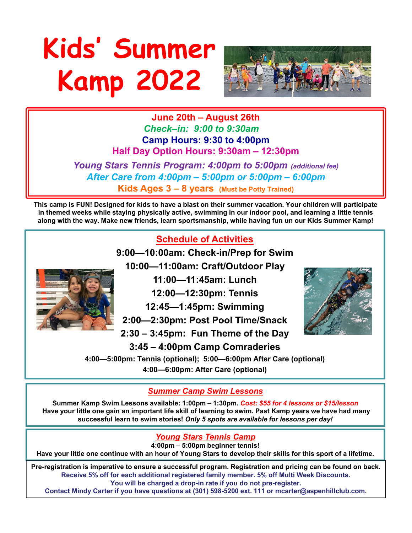# **Kids' Summer Kamp 2022**



**June 20th – August 26th** *Check–in: 9:00 to 9:30am* **Camp Hours: 9:30 to 4:00pm Half Day Option Hours: 9:30am – 12:30pm**

*Young Stars Tennis Program: 4:00pm to 5:00pm (additional fee) After Care from 4:00pm – 5:00pm or 5:00pm – 6:00pm* **Kids Ages 3 – 8 years (Must be Potty Trained)**

**This camp is FUN! Designed for kids to have a blast on their summer vacation. Your children will participate in themed weeks while staying physically active, swimming in our indoor pool, and learning a little tennis along with the way. Make new friends, learn sportsmanship, while having fun un our Kids Summer Kamp!**



**4:00pm – 5:00pm beginner tennis!**

**Have your little one continue with an hour of Young Stars to develop their skills for this sport of a lifetime.**

**Pre-registration is imperative to ensure a successful program. Registration and pricing can be found on back. Receive 5% off for each additional registered family member. 5% off Multi Week Discounts. You will be charged a drop-in rate if you do not pre-register.** 

**Contact Mindy Carter if you have questions at (301) 598-5200 ext. 111 or mcarter@aspenhillclub.com.**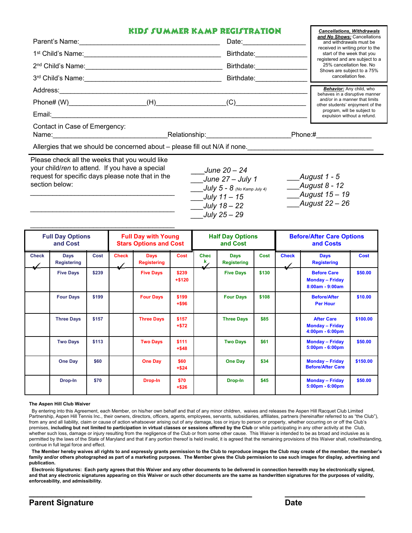### **KIDS SUMMER KAMP REGISTRATION**

|                                                    | KIDS SUMMER KAMP REGISTRATION |            | <b>Cancellations, Withdrawals</b>                                                                 |
|----------------------------------------------------|-------------------------------|------------|---------------------------------------------------------------------------------------------------|
| Parent's Name:                                     |                               | Date:      | and No Shows: Cancellations<br>and withdrawals must be                                            |
| 1 <sup>st</sup> Child's Name:                      |                               | Birthdate: | received in writing prior to the<br>start of the week that you<br>registered and are subject to a |
| 2 <sup>nd</sup> Child's Name:                      |                               | Birthdate: | 25% cancellation fee. No<br>Shows are subject to a 75%                                            |
| 3 <sup>rd</sup> Child's Name:                      |                               | Birthdate: | cancellation fee.                                                                                 |
| Address:                                           |                               |            | Behavior: Any child, who<br>behaves in a disruptive manner                                        |
| $Phone# (W)$ (H)                                   |                               | (C)        | and/or in a manner that limits<br>other students' enjoyment of the                                |
| Email:                                             |                               |            | program, will be subject to<br>expulsion without a refund.                                        |
| Contact in Case of Emergency:<br>Name: <b>Name</b> | Relationship:                 |            | Phone:#                                                                                           |

Allergies that we should be concerned about – please fill out N/A if none.

Please check all the weeks that you would like your child/*ren* to attend. If you have a special request for specific days please note that in the section below: *\_\_\_\_\_\_\_\_\_\_\_\_\_\_\_\_\_\_\_\_\_\_\_\_\_\_\_\_\_\_\_\_\_\_\_\_\_\_\_*

*\_\_\_\_\_\_\_\_\_\_\_\_\_\_\_\_\_\_\_\_\_\_\_\_\_\_\_\_\_\_\_\_\_\_\_\_\_\_\_*

\_\_\_*June 20 – 24 \_\_\_June 27 – July 1 \_\_\_July 5 - 8 (No Kamp July 4) \_\_\_July 11 – 15 \_\_\_July 18 – 22 \_\_\_July 25 – 29*

*\_\_\_August 1 - 5 \_\_\_August 8 - 12 \_\_\_August 15 – 19 \_\_\_August 22 – 26*

| <b>Full Day Options</b><br>and Cost |                                   | <b>Full Day with Young</b><br><b>Stars Options and Cost</b> |              | <b>Half Day Options</b><br>and Cost |                   | <b>Before/After Care Options</b><br>and Costs |                                   |       |              |                                                                   |             |
|-------------------------------------|-----------------------------------|-------------------------------------------------------------|--------------|-------------------------------------|-------------------|-----------------------------------------------|-----------------------------------|-------|--------------|-------------------------------------------------------------------|-------------|
| <b>Check</b>                        | <b>Days</b><br><b>Registering</b> | Cost                                                        | <b>Check</b> | <b>Days</b><br><b>Registering</b>   | Cost              | <b>Chec</b><br>k.                             | <b>Days</b><br><b>Registering</b> | Cost  | <b>Check</b> | <b>Days</b><br><b>Registering</b>                                 | <b>Cost</b> |
|                                     | <b>Five Days</b>                  | \$239                                                       |              | <b>Five Days</b>                    | \$239<br>$+ $120$ |                                               | <b>Five Days</b>                  | \$130 |              | <b>Before Care</b><br><b>Monday - Friday</b><br>$8:00am - 9:00am$ | \$50.00     |
|                                     | <b>Four Days</b>                  | \$199                                                       |              | <b>Four Days</b>                    | \$199<br>$+ $96$  |                                               | <b>Four Days</b>                  | \$108 |              | <b>Before/After</b><br><b>Per Hour</b>                            | \$10.00     |
|                                     | <b>Three Days</b>                 | \$157                                                       |              | <b>Three Days</b>                   | \$157<br>$+ $72$  |                                               | <b>Three Days</b>                 | \$85  |              | <b>After Care</b><br><b>Monday - Friday</b><br>4:00pm - 6:00pm    | \$100.00    |
|                                     | <b>Two Days</b>                   | \$113                                                       |              | <b>Two Days</b>                     | \$111<br>$+ $48$  |                                               | <b>Two Days</b>                   | \$61  |              | <b>Monday - Friday</b><br>$5:00 \text{pm} - 6:00 \text{pm}$       | \$50.00     |
|                                     | <b>One Day</b>                    | \$60                                                        |              | <b>One Day</b>                      | \$60<br>$+ $24$   |                                               | One Day                           | \$34  |              | <b>Monday - Friday</b><br><b>Before/After Care</b>                | \$150.00    |
|                                     | Drop-In                           | \$70                                                        |              | Drop-In                             | \$70<br>$+ $26$   |                                               | Drop-In                           | \$45  |              | <b>Monday - Friday</b><br>$5:00 \text{pm} - 6:00 \text{pm}$       | \$50.00     |

#### **The Aspen Hill Club Waiver**

By entering into this Agreement, each Member, on his/her own behalf and that of any minor children, waives and releases the Aspen Hill Racquet Club Limited Partnership, Aspen Hill Tennis Inc., their owners, directors, officers, agents, employees, servants, subsidiaries, affiliates, partners (hereinafter referred to as "the Club"), from any and all liability, claim or cause of action whatsoever arising out of any damage, loss or injury to person or property, whether occurring on or off the Club's premises, **including but not limited to participation in virtual classes or sessions offered by the Club** or while participating in any other activity at the Club, whether such loss, damage or injury resulting from the negligence of the Club or from some other cause. This Waiver is intended to be as broad and inclusive as is permitted by the laws of the State of Maryland and that if any portion thereof is held invalid, it is agreed that the remaining provisions of this Waiver shall, notwithstanding, continue in full legal force and effect.

**The Member hereby waives all rights to and expressly grants permission to the Club to reproduce images the Club may create of the member, the member's**  family and/or others photographed as part of a marketing purposes. The Member gives the Club permission to use such images for display, advertising and **publication.**

**Electronic Signatures: Each party agrees that this Waiver and any other documents to be delivered in connection herewith may be electronically signed, and that any electronic signatures appearing on this Waiver or such other documents are the same as handwritten signatures for the purposes of validity, enforceability, and admissibility.**

**\_\_\_\_\_\_\_\_\_\_\_\_\_\_\_\_\_\_\_\_\_\_\_\_\_\_\_\_\_\_\_\_\_\_\_\_\_\_\_\_\_\_\_\_\_\_\_\_\_\_ \_\_\_\_\_\_\_\_\_\_\_\_\_\_\_\_\_\_**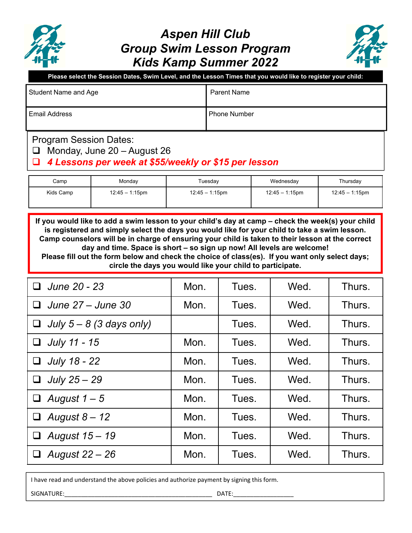

## *Aspen Hill Club Group Swim Lesson Program Kids Kamp Summer 2022*



**Please select the Session Dates, Swim Level, and the Lesson Times that you would like to register your child:**

| Student Name and Age | Parent Name         |
|----------------------|---------------------|
| Email Address        | <b>Phone Number</b> |

## Program Session Dates:

 $\Box$  Monday, June 20 - August 26

## *4 Lessons per week at \$55/weekly or \$15 per lesson*

| Camp      | Monday            | Tuesdav           | Wednesday         | Thursday          |
|-----------|-------------------|-------------------|-------------------|-------------------|
| Kids Camp | $12:45 - 1:15$ pm | $12:45 - 1:15$ pm | $12:45 - 1:15$ pm | $12.45 - 1.15$ pm |

**If you would like to add a swim lesson to your child's day at camp – check the week(s) your child is registered and simply select the days you would like for your child to take a swim lesson. Camp counselors will be in charge of ensuring your child is taken to their lesson at the correct day and time. Space is short – so sign up now! All levels are welcome! Please fill out the form below and check the choice of class(es). If you want only select days; circle the days you would like your child to participate.**

| June 20 - 23               | Mon. | Tues. | Wed. | Thurs. |
|----------------------------|------|-------|------|--------|
| June 27 – June 30<br>ப     | Mon. | Tues. | Wed. | Thurs. |
| July $5 - 8$ (3 days only) |      | Tues. | Wed. | Thurs. |
| July 11 - 15               | Mon. | Tues. | Wed. | Thurs. |
| July 18 - 22<br>❏          | Mon. | Tues. | Wed. | Thurs. |
| July 25 - 29<br>⊔          | Mon. | Tues. | Wed. | Thurs. |
| August $1-5$               | Mon. | Tues. | Wed. | Thurs. |
| August $8 - 12$<br>u       | Mon. | Tues. | Wed. | Thurs. |
| August 15 - 19             | Mon. | Tues. | Wed. | Thurs. |
| August 22 - 26             | Mon. | Tues. | Wed. | Thurs. |

I have read and understand the above policies and authorize payment by signing this form.

SIGNATURE:\_\_\_\_\_\_\_\_\_\_\_\_\_\_\_\_\_\_\_\_\_\_\_\_\_\_\_\_\_\_\_\_\_\_\_\_\_\_\_\_\_\_\_\_ DATE:\_\_\_\_\_\_\_\_\_\_\_\_\_\_\_\_\_\_